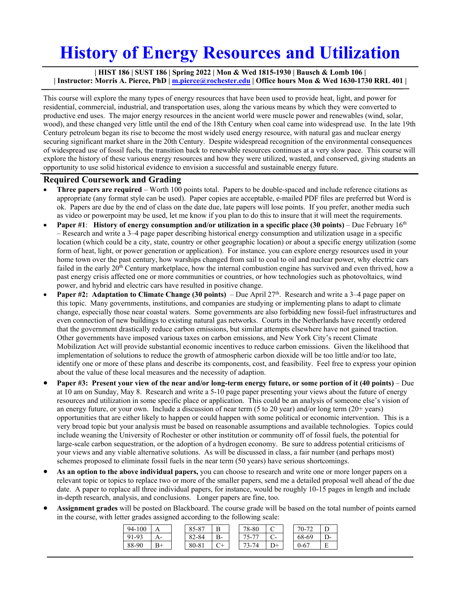## **History of Energy Resources and Utilization**

**| HIST 186 | SUST 186 | Spring 2022 | Mon & Wed 1815-1930 | Bausch & Lomb 106 | | Instructor: Morris A. Pierce, PhD | m.pierce@rochester.edu | Office hours Mon & Wed 1630-1730 RRL 401 |**

This course will explore the many types of energy resources that have been used to provide heat, light, and power for residential, commercial, industrial, and transportation uses, along the various means by which they were converted to productive end uses. The major energy resources in the ancient world were muscle power and renewables (wind, solar, wood), and these changed very little until the end of the 18th Century when coal came into widespread use. In the late 19th Century petroleum began its rise to become the most widely used energy resource, with natural gas and nuclear energy securing significant market share in the 20th Century. Despite widespread recognition of the environmental consequences of widespread use of fossil fuels, the transition back to renewable resources continues at a very slow pace. This course will explore the history of these various energy resources and how they were utilized, wasted, and conserved, giving students an opportunity to use solid historical evidence to envision a successful and sustainable energy future.

## **Required Coursework and Grading**

- **Three papers are required**  Worth 100 points total. Papers to be double-spaced and include reference citations as appropriate (any format style can be used). Paper copies are acceptable, e-mailed PDF files are preferred but Word is ok. Papers are due by the end of class on the date due, late papers will lose points. If you prefer, another media such as video or powerpoint may be used, let me know if you plan to do this to insure that it will meet the requirements.
- **Paper #1: History of energy consumption and/or utilization in a specific place (30 points)** Due February 16<sup>th</sup> – Research and write a 3–4 page paper describing historical energy consumption and utilization usage in a specific location (which could be a city, state, country or other geographic location) or about a specific energy utilization (some form of heat, light, or power generation or application). For instance. you can explore energy resources used in your home town over the past century, how warships changed from sail to coal to oil and nuclear power, why electric cars failed in the early 20<sup>th</sup> Century marketplace, how the internal combustion engine has survived and even thrived, how a past energy crisis affected one or more communities or countries, or how technologies such as photovoltaics, wind power, and hybrid and electric cars have resulted in positive change.
- **Paper #2: Adaptation to Climate Change (30 points)** Due April 27<sup>th</sup>. Research and write a 3–4 page paper on this topic. Many governments, institutions, and companies are studying or implementing plans to adapt to climate change, especially those near coastal waters. Some governments are also forbidding new fossil-fuel infrastructures and even connection of new buildings to existing natural gas networks. Courts in the Netherlands have recently ordered that the government drastically reduce carbon emissions, but similar attempts elsewhere have not gained traction. Other governments have imposed various taxes on carbon emissions, and New York City's recent Climate Mobilization Act will provide substantial economic incentives to reduce carbon emissions. Given the likelihood that implementation of solutions to reduce the growth of atmospheric carbon dioxide will be too little and/or too late, identify one or more of these plans and describe its components, cost, and feasibility. Feel free to express your opinion about the value of these local measures and the necessity of adaption.
- **Paper #3: Present your view of the near and/or long-term energy future, or some portion of it (40 points)** Due at 10 am on Sunday, May 8. Research and write a 5-10 page paper presenting your views about the future of energy resources and utilization in some specific place or application. This could be an analysis of someone else's vision of an energy future, or your own. Include a discussion of near term (5 to 20 year) and/or long term (20+ years) opportunities that are either likely to happen or could happen with some political or economic intervention. This is a very broad topic but your analysis must be based on reasonable assumptions and available technologies. Topics could include weaning the University of Rochester or other institution or community off of fossil fuels, the potential for large-scale carbon sequestration, or the adoption of a hydrogen economy. Be sure to address potential criticisms of your views and any viable alternative solutions. As will be discussed in class, a fair number (and perhaps most) schemes proposed to eliminate fossil fuels in the near term (50 years) have serious shortcomings.
- **As an option to the above individual papers,** you can choose to research and write one or more longer papers on a relevant topic or topics to replace two or more of the smaller papers, send me a detailed proposal well ahead of the due date. A paper to replace all three individual papers, for instance, would be roughly 10-15 pages in length and include in-depth research, analysis, and conclusions. Longer papers are fine, too.
- **Assignment grades** will be posted on Blackboard. The course grade will be based on the total number of points earned in the course, with letter grades assigned according to the following scale:

| 94-100         |                | 7-X   | R                | 78-80     |      | $70-$       |    |
|----------------|----------------|-------|------------------|-----------|------|-------------|----|
| $91-9^{\circ}$ |                | 82-84 | B-               | $75-$     | - -  | 68-69       | ,, |
| 88-90          | $\mathbf{Q} +$ | 80-81 | $\mathfrak{g}_+$ | <u>ຳ–</u> | $+1$ | $0 - 6^{-}$ |    |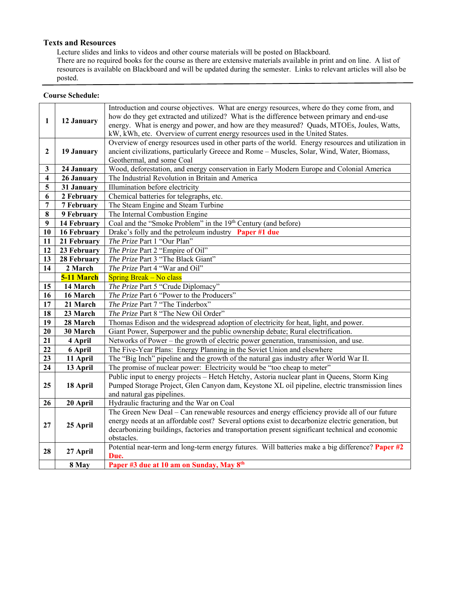## **Texts and Resources**

Lecture slides and links to videos and other course materials will be posted on Blackboard. There are no required books for the course as there are extensive materials available in print and on line. A list of resources is available on Blackboard and will be updated during the semester. Links to relevant articles will also be posted.

## **Course Schedule:**

| 1                       | 12 January  | Introduction and course objectives. What are energy resources, where do they come from, and<br>how do they get extracted and utilized? What is the difference between primary and end-use<br>energy. What is energy and power, and how are they measured? Quads, MTOEs, Joules, Watts,<br>kW, kWh, etc. Overview of current energy resources used in the United States. |  |  |  |  |  |
|-------------------------|-------------|-------------------------------------------------------------------------------------------------------------------------------------------------------------------------------------------------------------------------------------------------------------------------------------------------------------------------------------------------------------------------|--|--|--|--|--|
| $\mathbf{2}$            | 19 January  | Overview of energy resources used in other parts of the world. Energy resources and utilization in<br>ancient civilizations, particularly Greece and Rome - Muscles, Solar, Wind, Water, Biomass,<br>Geothermal, and some Coal                                                                                                                                          |  |  |  |  |  |
| 3                       | 24 January  | Wood, deforestation, and energy conservation in Early Modern Europe and Colonial America                                                                                                                                                                                                                                                                                |  |  |  |  |  |
| $\overline{\mathbf{4}}$ | 26 January  | The Industrial Revolution in Britain and America                                                                                                                                                                                                                                                                                                                        |  |  |  |  |  |
| 5                       | 31 January  | Illumination before electricity                                                                                                                                                                                                                                                                                                                                         |  |  |  |  |  |
| 6                       | 2 February  | Chemical batteries for telegraphs, etc.                                                                                                                                                                                                                                                                                                                                 |  |  |  |  |  |
| $\overline{7}$          | 7 February  | The Steam Engine and Steam Turbine                                                                                                                                                                                                                                                                                                                                      |  |  |  |  |  |
| 8                       | 9 February  | The Internal Combustion Engine                                                                                                                                                                                                                                                                                                                                          |  |  |  |  |  |
| $\boldsymbol{9}$        | 14 February | Coal and the "Smoke Problem" in the 19th Century (and before)                                                                                                                                                                                                                                                                                                           |  |  |  |  |  |
| 10                      | 16 February | Drake's folly and the petroleum industry Paper #1 due                                                                                                                                                                                                                                                                                                                   |  |  |  |  |  |
| 11                      | 21 February | The Prize Part 1 "Our Plan"                                                                                                                                                                                                                                                                                                                                             |  |  |  |  |  |
| 12                      | 23 February | The Prize Part 2 "Empire of Oil"                                                                                                                                                                                                                                                                                                                                        |  |  |  |  |  |
| 13                      | 28 February | The Prize Part 3 "The Black Giant"                                                                                                                                                                                                                                                                                                                                      |  |  |  |  |  |
| 14                      | 2 March     | The Prize Part 4 "War and Oil"                                                                                                                                                                                                                                                                                                                                          |  |  |  |  |  |
|                         | 5-11 March  | <b>Spring Break – No class</b>                                                                                                                                                                                                                                                                                                                                          |  |  |  |  |  |
| 15                      | 14 March    | The Prize Part 5 "Crude Diplomacy"                                                                                                                                                                                                                                                                                                                                      |  |  |  |  |  |
| 16                      | 16 March    | The Prize Part 6 "Power to the Producers"                                                                                                                                                                                                                                                                                                                               |  |  |  |  |  |
| 17                      | 21 March    | The Prize Part 7 "The Tinderbox"                                                                                                                                                                                                                                                                                                                                        |  |  |  |  |  |
| 18                      | 23 March    | The Prize Part 8 "The New Oil Order"                                                                                                                                                                                                                                                                                                                                    |  |  |  |  |  |
| 19                      | 28 March    | Thomas Edison and the widespread adoption of electricity for heat, light, and power.                                                                                                                                                                                                                                                                                    |  |  |  |  |  |
| 20                      | 30 March    | Giant Power, Superpower and the public ownership debate; Rural electrification.                                                                                                                                                                                                                                                                                         |  |  |  |  |  |
| 21                      | 4 April     | Networks of Power – the growth of electric power generation, transmission, and use.                                                                                                                                                                                                                                                                                     |  |  |  |  |  |
| 22                      | 6 April     | The Five-Year Plans: Energy Planning in the Soviet Union and elsewhere                                                                                                                                                                                                                                                                                                  |  |  |  |  |  |
| 23                      | 11 April    | The "Big Inch" pipeline and the growth of the natural gas industry after World War II.                                                                                                                                                                                                                                                                                  |  |  |  |  |  |
| 24                      | 13 April    | The promise of nuclear power: Electricity would be "too cheap to meter"                                                                                                                                                                                                                                                                                                 |  |  |  |  |  |
| 25                      | 18 April    | Public input to energy projects - Hetch Hetchy, Astoria nuclear plant in Queens, Storm King<br>Pumped Storage Project, Glen Canyon dam, Keystone XL oil pipeline, electric transmission lines<br>and natural gas pipelines.                                                                                                                                             |  |  |  |  |  |
| 26                      | 20 April    | Hydraulic fracturing and the War on Coal                                                                                                                                                                                                                                                                                                                                |  |  |  |  |  |
| 27                      | 25 April    | The Green New Deal - Can renewable resources and energy efficiency provide all of our future<br>energy needs at an affordable cost? Several options exist to decarbonize electric generation, but<br>decarbonizing buildings, factories and transportation present significant technical and economic<br>obstacles.                                                     |  |  |  |  |  |
| 28                      | 27 April    | Potential near-term and long-term energy futures. Will batteries make a big difference? Paper #2<br>Due.                                                                                                                                                                                                                                                                |  |  |  |  |  |
|                         | 8 May       | Paper #3 due at 10 am on Sunday, May 8th                                                                                                                                                                                                                                                                                                                                |  |  |  |  |  |